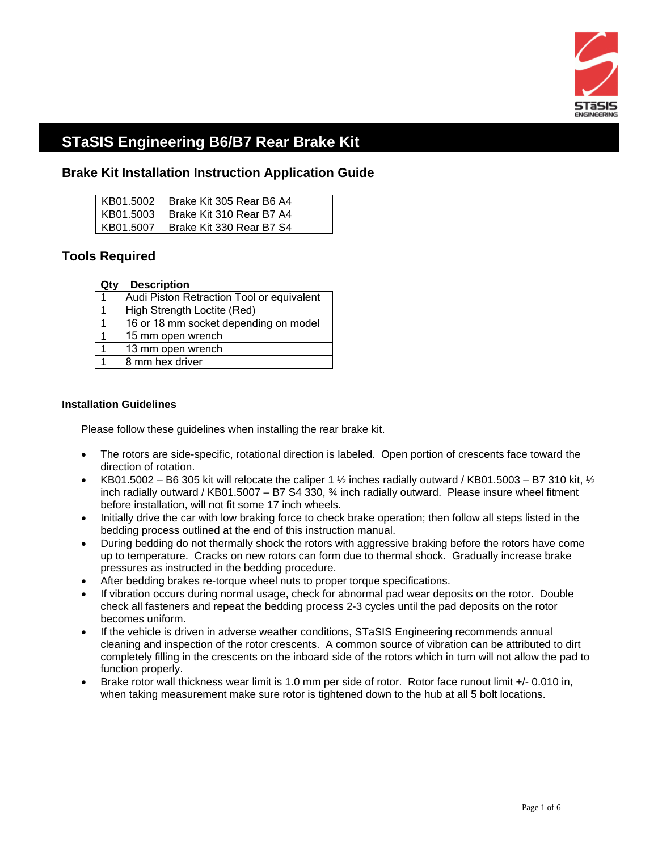

# **STaSIS Engineering B6/B7 Rear Brake Kit**

### **Brake Kit Installation Instruction Application Guide**

| KB01.5002 Brake Kit 305 Rear B6 A4   |
|--------------------------------------|
| KB01.5003   Brake Kit 310 Rear B7 A4 |
| KB01.5007   Brake Kit 330 Rear B7 S4 |

## **Tools Required**

#### **Qty Description**

| Audi Piston Retraction Tool or equivalent |  |
|-------------------------------------------|--|
| High Strength Loctite (Red)               |  |
| 16 or 18 mm socket depending on model     |  |
| 15 mm open wrench                         |  |
| 13 mm open wrench                         |  |
| 8 mm hex driver                           |  |
|                                           |  |

#### **Installation Guidelines**

 $\overline{a}$ 

Please follow these guidelines when installing the rear brake kit.

- The rotors are side-specific, rotational direction is labeled. Open portion of crescents face toward the direction of rotation.
- KB01.5002 B6 305 kit will relocate the caliper 1  $\frac{1}{2}$  inches radially outward / KB01.5003 B7 310 kit,  $\frac{1}{2}$ inch radially outward / KB01.5007 – B7 S4 330,  $\frac{3}{4}$  inch radially outward. Please insure wheel fitment before installation, will not fit some 17 inch wheels.
- Initially drive the car with low braking force to check brake operation; then follow all steps listed in the bedding process outlined at the end of this instruction manual.
- During bedding do not thermally shock the rotors with aggressive braking before the rotors have come up to temperature. Cracks on new rotors can form due to thermal shock. Gradually increase brake pressures as instructed in the bedding procedure.
- After bedding brakes re-torque wheel nuts to proper torque specifications.
- If vibration occurs during normal usage, check for abnormal pad wear deposits on the rotor. Double check all fasteners and repeat the bedding process 2-3 cycles until the pad deposits on the rotor becomes uniform.
- If the vehicle is driven in adverse weather conditions, STaSIS Engineering recommends annual cleaning and inspection of the rotor crescents. A common source of vibration can be attributed to dirt completely filling in the crescents on the inboard side of the rotors which in turn will not allow the pad to function properly.
- Brake rotor wall thickness wear limit is 1.0 mm per side of rotor. Rotor face runout limit +/- 0.010 in, when taking measurement make sure rotor is tightened down to the hub at all 5 bolt locations.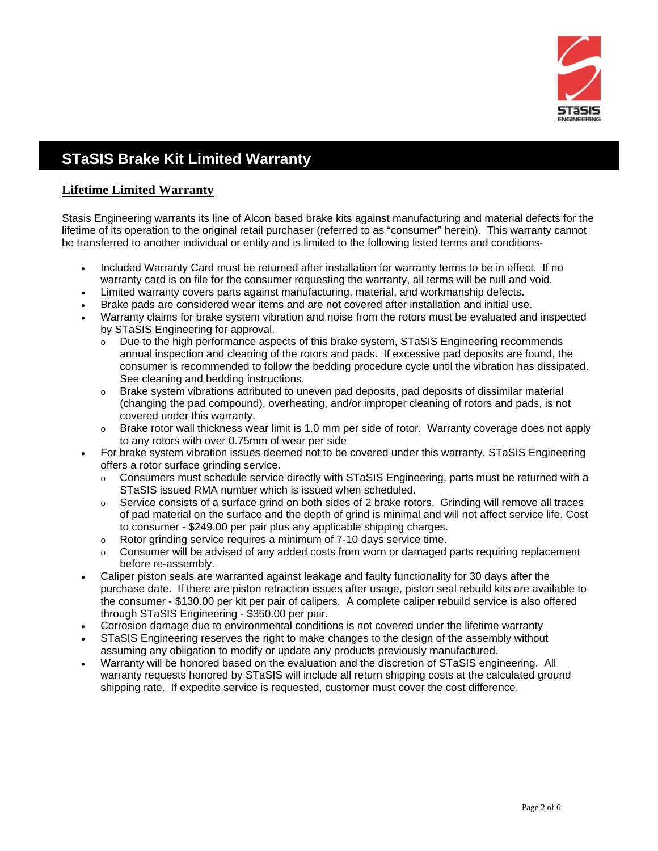

# **STaSIS Brake Kit Limited Warranty**

### **Lifetime Limited Warranty**

Stasis Engineering warrants its line of Alcon based brake kits against manufacturing and material defects for the lifetime of its operation to the original retail purchaser (referred to as "consumer" herein). This warranty cannot be transferred to another individual or entity and is limited to the following listed terms and conditions-

- Included Warranty Card must be returned after installation for warranty terms to be in effect. If no warranty card is on file for the consumer requesting the warranty, all terms will be null and void.
- Limited warranty covers parts against manufacturing, material, and workmanship defects.
- Brake pads are considered wear items and are not covered after installation and initial use.
- Warranty claims for brake system vibration and noise from the rotors must be evaluated and inspected by STaSIS Engineering for approval.
	- o Due to the high performance aspects of this brake system, STaSIS Engineering recommends annual inspection and cleaning of the rotors and pads. If excessive pad deposits are found, the consumer is recommended to follow the bedding procedure cycle until the vibration has dissipated. See cleaning and bedding instructions.
	- $\circ$  Brake system vibrations attributed to uneven pad deposits, pad deposits of dissimilar material (changing the pad compound), overheating, and/or improper cleaning of rotors and pads, is not covered under this warranty.
	- $\circ$  Brake rotor wall thickness wear limit is 1.0 mm per side of rotor. Warranty coverage does not apply to any rotors with over 0.75mm of wear per side
- For brake system vibration issues deemed not to be covered under this warranty, STaSIS Engineering offers a rotor surface grinding service.
	- o Consumers must schedule service directly with STaSIS Engineering, parts must be returned with a STaSIS issued RMA number which is issued when scheduled.
	- $\circ$  Service consists of a surface grind on both sides of 2 brake rotors. Grinding will remove all traces of pad material on the surface and the depth of grind is minimal and will not affect service life. Cost to consumer - \$249.00 per pair plus any applicable shipping charges.
	- o Rotor grinding service requires a minimum of 7-10 days service time.
	- $\circ$  Consumer will be advised of any added costs from worn or damaged parts requiring replacement before re-assembly.
- Caliper piston seals are warranted against leakage and faulty functionality for 30 days after the purchase date. If there are piston retraction issues after usage, piston seal rebuild kits are available to the consumer - \$130.00 per kit per pair of calipers. A complete caliper rebuild service is also offered through STaSIS Engineering - \$350.00 per pair.
- Corrosion damage due to environmental conditions is not covered under the lifetime warranty
- STaSIS Engineering reserves the right to make changes to the design of the assembly without assuming any obligation to modify or update any products previously manufactured.
- Warranty will be honored based on the evaluation and the discretion of STaSIS engineering. All warranty requests honored by STaSIS will include all return shipping costs at the calculated ground shipping rate. If expedite service is requested, customer must cover the cost difference.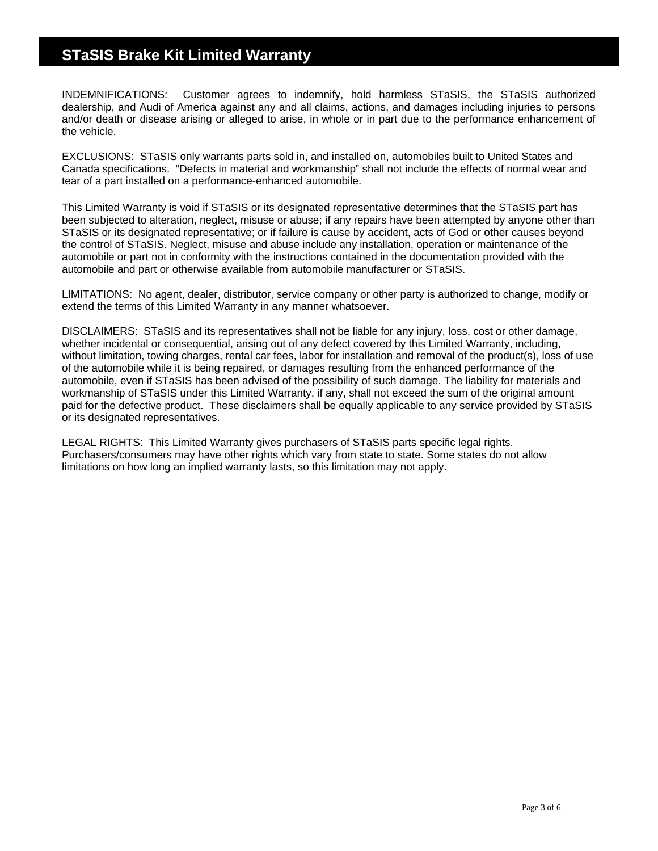## **STaSIS Brake Kit Limited Warranty**

INDEMNIFICATIONS: Customer agrees to indemnify, hold harmless STaSIS, the STaSIS authorized dealership, and Audi of America against any and all claims, actions, and damages including injuries to persons and/or death or disease arising or alleged to arise, in whole or in part due to the performance enhancement of the vehicle.

EXCLUSIONS: STaSIS only warrants parts sold in, and installed on, automobiles built to United States and Canada specifications. "Defects in material and workmanship" shall not include the effects of normal wear and tear of a part installed on a performance-enhanced automobile.

This Limited Warranty is void if STaSIS or its designated representative determines that the STaSIS part has been subjected to alteration, neglect, misuse or abuse; if any repairs have been attempted by anyone other than STaSIS or its designated representative; or if failure is cause by accident, acts of God or other causes beyond the control of STaSIS. Neglect, misuse and abuse include any installation, operation or maintenance of the automobile or part not in conformity with the instructions contained in the documentation provided with the automobile and part or otherwise available from automobile manufacturer or STaSIS.

LIMITATIONS: No agent, dealer, distributor, service company or other party is authorized to change, modify or extend the terms of this Limited Warranty in any manner whatsoever.

DISCLAIMERS: STaSIS and its representatives shall not be liable for any injury, loss, cost or other damage, whether incidental or consequential, arising out of any defect covered by this Limited Warranty, including, without limitation, towing charges, rental car fees, labor for installation and removal of the product(s), loss of use of the automobile while it is being repaired, or damages resulting from the enhanced performance of the automobile, even if STaSIS has been advised of the possibility of such damage. The liability for materials and workmanship of STaSIS under this Limited Warranty, if any, shall not exceed the sum of the original amount paid for the defective product. These disclaimers shall be equally applicable to any service provided by STaSIS or its designated representatives.

LEGAL RIGHTS: This Limited Warranty gives purchasers of STaSIS parts specific legal rights. Purchasers/consumers may have other rights which vary from state to state. Some states do not allow limitations on how long an implied warranty lasts, so this limitation may not apply.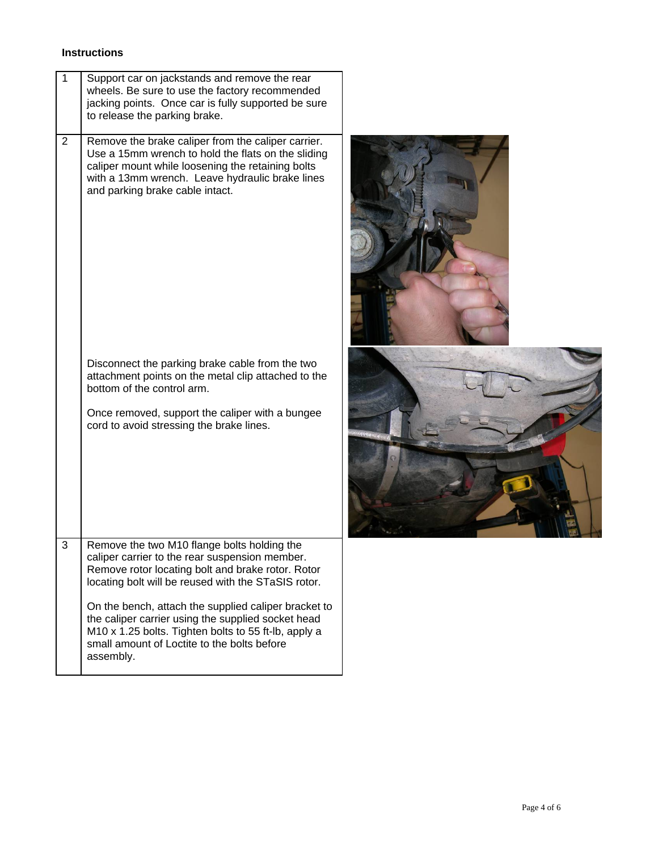### **Instructions**

| 1              | Support car on jackstands and remove the rear<br>wheels. Be sure to use the factory recommended<br>jacking points. Once car is fully supported be sure<br>to release the parking brake.                                                                                                                                                                                                                                                     |  |
|----------------|---------------------------------------------------------------------------------------------------------------------------------------------------------------------------------------------------------------------------------------------------------------------------------------------------------------------------------------------------------------------------------------------------------------------------------------------|--|
| $\overline{2}$ | Remove the brake caliper from the caliper carrier.<br>Use a 15mm wrench to hold the flats on the sliding<br>caliper mount while loosening the retaining bolts<br>with a 13mm wrench. Leave hydraulic brake lines<br>and parking brake cable intact.                                                                                                                                                                                         |  |
|                | Disconnect the parking brake cable from the two<br>attachment points on the metal clip attached to the<br>bottom of the control arm.<br>Once removed, support the caliper with a bungee<br>cord to avoid stressing the brake lines.                                                                                                                                                                                                         |  |
| 3              | Remove the two M10 flange bolts holding the<br>caliper carrier to the rear suspension member.<br>Remove rotor locating bolt and brake rotor. Rotor<br>locating bolt will be reused with the STaSIS rotor.<br>On the bench, attach the supplied caliper bracket to<br>the caliper carrier using the supplied socket head<br>M10 x 1.25 bolts. Tighten bolts to 55 ft-lb, apply a<br>small amount of Loctite to the bolts before<br>assembly. |  |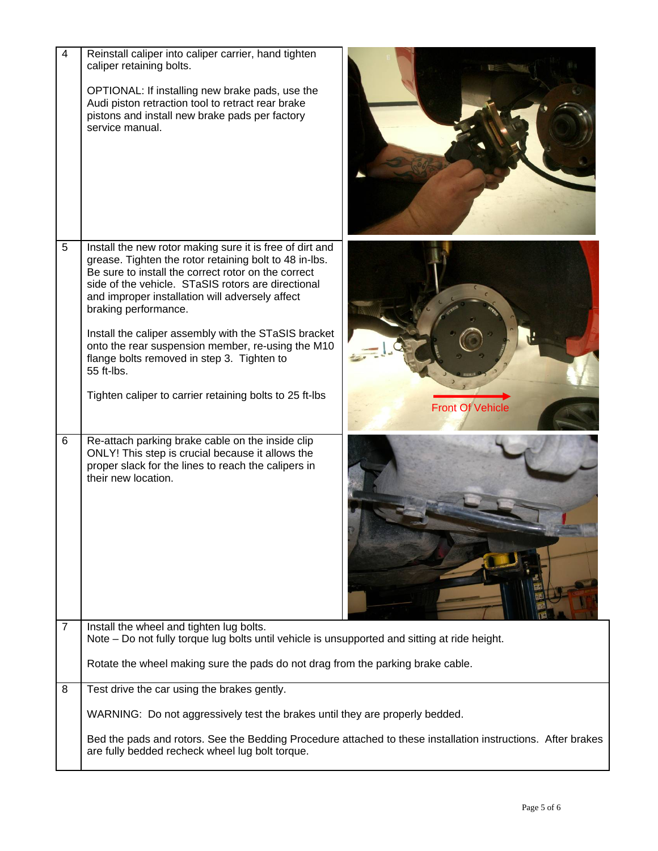| $\overline{4}$ | Reinstall caliper into caliper carrier, hand tighten<br>caliper retaining bolts.<br>OPTIONAL: If installing new brake pads, use the<br>Audi piston retraction tool to retract rear brake<br>pistons and install new brake pads per factory<br>service manual.                                                                                                                                                                                                                                                                                  |                         |  |
|----------------|------------------------------------------------------------------------------------------------------------------------------------------------------------------------------------------------------------------------------------------------------------------------------------------------------------------------------------------------------------------------------------------------------------------------------------------------------------------------------------------------------------------------------------------------|-------------------------|--|
| 5              | Install the new rotor making sure it is free of dirt and<br>grease. Tighten the rotor retaining bolt to 48 in-lbs.<br>Be sure to install the correct rotor on the correct<br>side of the vehicle. STaSIS rotors are directional<br>and improper installation will adversely affect<br>braking performance.<br>Install the caliper assembly with the STaSIS bracket<br>onto the rear suspension member, re-using the M10<br>flange bolts removed in step 3. Tighten to<br>55 ft-lbs.<br>Tighten caliper to carrier retaining bolts to 25 ft-lbs | <b>Front Of Vehicle</b> |  |
| 6              | Re-attach parking brake cable on the inside clip<br>ONLY! This step is crucial because it allows the<br>proper slack for the lines to reach the calipers in<br>their new location.                                                                                                                                                                                                                                                                                                                                                             |                         |  |
| 7              | Install the wheel and tighten lug bolts.<br>Note - Do not fully torque lug bolts until vehicle is unsupported and sitting at ride height.                                                                                                                                                                                                                                                                                                                                                                                                      |                         |  |
|                | Rotate the wheel making sure the pads do not drag from the parking brake cable.                                                                                                                                                                                                                                                                                                                                                                                                                                                                |                         |  |
| 8              | Test drive the car using the brakes gently.                                                                                                                                                                                                                                                                                                                                                                                                                                                                                                    |                         |  |
|                | WARNING: Do not aggressively test the brakes until they are properly bedded.                                                                                                                                                                                                                                                                                                                                                                                                                                                                   |                         |  |
|                | Bed the pads and rotors. See the Bedding Procedure attached to these installation instructions. After brakes<br>are fully bedded recheck wheel lug bolt torque.                                                                                                                                                                                                                                                                                                                                                                                |                         |  |